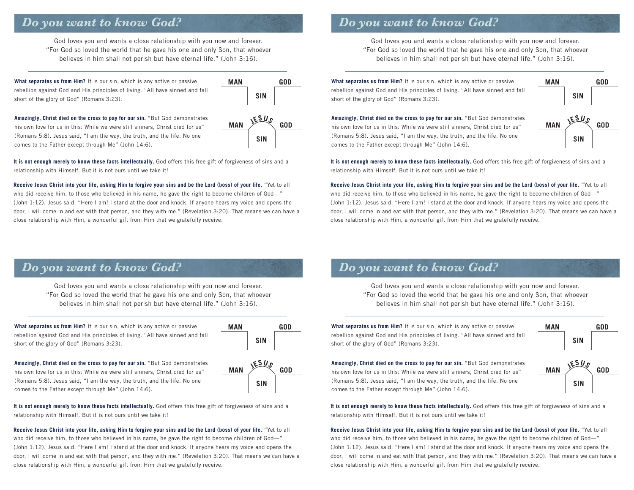## *Do you want to know God?*

God loves you and wants a close relationship with you now and forever. "For God so loved the world that he gave his one and only Son, that whoever believes in him shall not perish but have eternal life." (John 3:16).

**What separates us from Him?** It is our sin, which is any active or passive rebellion against God and His principles of living. "All have sinned and fall short of the glory of God" (Romans 3:23).



**Amazingly, Christ died on the cross to pay for our sin.** "But God demonstrates his own love for us in this: While we were still sinners, Christ died for us" (Romans 5:8). Jesus said, "I am the way, the truth, and the life. No one comes to the Father except through Me" (John 14:6).

**MAN COD SIN <sup>J</sup>ESUS**

**It is not enough merely to know these facts intellectually.** God offers this free gift of forgiveness of sins and a relationship with Himself. But it is not ours until we take it!

**Receive Jesus Christ into your life, asking Him to forgive your sins and be the Lord (boss) of your life.** "Yet to all who did receive him, to those who believed in his name, he gave the right to become children of God—" (John 1:12). Jesus said, "Here I am! I stand at the door and knock. If anyone hears my voice and opens the door, I will come in and eat with that person, and they with me." (Revelation 3:20). That means we can have a close relationship with Him, a wonderful gift from Him that we gratefully receive.

## *Do you want to know God?*

God loves you and wants a close relationship with you now and forever. "For God so loved the world that he gave his one and only Son, that whoever believes in him shall not perish but have eternal life." (John 3:16).

**What separates us from Him?** It is our sin, which is any active or passive rebellion against God and His principles of living. "All have sinned and fall short of the glory of God" (Romans 3:23).

**Amazingly, Christ died on the cross to pay for our sin.** "But God demonstrates his own love for us in this: While we were still sinners, Christ died for us" (Romans 5:8). Jesus said, "I am the way, the truth, and the life. No one comes to the Father except through Me" (John 14:6).



**MAN GOD**

**It is not enough merely to know these facts intellectually.** God offers this free gift of forgiveness of sins and a relationship with Himself. But it is not ours until we take it!

**Receive Jesus Christ into your life, asking Him to forgive your sins and be the Lord (boss) of your life.** "Yet to all who did receive him, to those who believed in his name, he gave the right to become children of God—" (John 1:12). Jesus said, "Here I am! I stand at the door and knock. If anyone hears my voice and opens the door, I will come in and eat with that person, and they with me." (Revelation 3:20). That means we can have a close relationship with Him, a wonderful gift from Him that we gratefully receive.

# *Do you want to know God?*

God loves you and wants a close relationship with you now and forever. "For God so loved the world that he gave his one and only Son, that whoever believes in him shall not perish but have eternal life." (John 3:16).

**What separates us from Him?** It is our sin, which is any active or passive rebellion against God and His principles of living. "All have sinned and fall short of the glory of God" (Romans 3:23).



**Amazingly, Christ died on the cross to pay for our sin.** "But God demonstrates his own love for us in this: While we were still sinners, Christ died for us" (Romans 5:8). Jesus said, "I am the way, the truth, and the life. No one comes to the Father except through Me" (John 14:6).



**It is not enough merely to know these facts intellectually.** God offers this free gift of forgiveness of sins and a relationship with Himself. But it is not ours until we take it!

**Receive Jesus Christ into your life, asking Him to forgive your sins and be the Lord (boss) of your life.** "Yet to all who did receive him, to those who believed in his name, he gave the right to become children of God—" (John 1:12). Jesus said, "Here I am! I stand at the door and knock. If anyone hears my voice and opens the door, I will come in and eat with that person, and they with me." (Revelation 3:20). That means we can have a close relationship with Him, a wonderful gift from Him that we gratefully receive.

# *Do you want to know God?*

God loves you and wants a close relationship with you now and forever. "For God so loved the world that he gave his one and only Son, that whoever believes in him shall not perish but have eternal life." (John 3:16).

**What separates us from Him?** It is our sin, which is any active or passive rebellion against God and His principles of living. "All have sinned and fall short of the glory of God" (Romans 3:23).



**Amazingly, Christ died on the cross to pay for our sin.** "But God demonstrates his own love for us in this: While we were still sinners, Christ died for us" (Romans 5:8). Jesus said, "I am the way, the truth, and the life. No one comes to the Father except through Me" (John 14:6).



**It is not enough merely to know these facts intellectually.** God offers this free gift of forgiveness of sins and a relationship with Himself. But it is not ours until we take it!

**Receive Jesus Christ into your life, asking Him to forgive your sins and be the Lord (boss) of your life.** "Yet to all who did receive him, to those who believed in his name, he gave the right to become children of God—" (John 1:12). Jesus said, "Here I am! I stand at the door and knock. If anyone hears my voice and opens the door, I will come in and eat with that person, and they with me." (Revelation 3:20). That means we can have a close relationship with Him, a wonderful gift from Him that we gratefully receive.